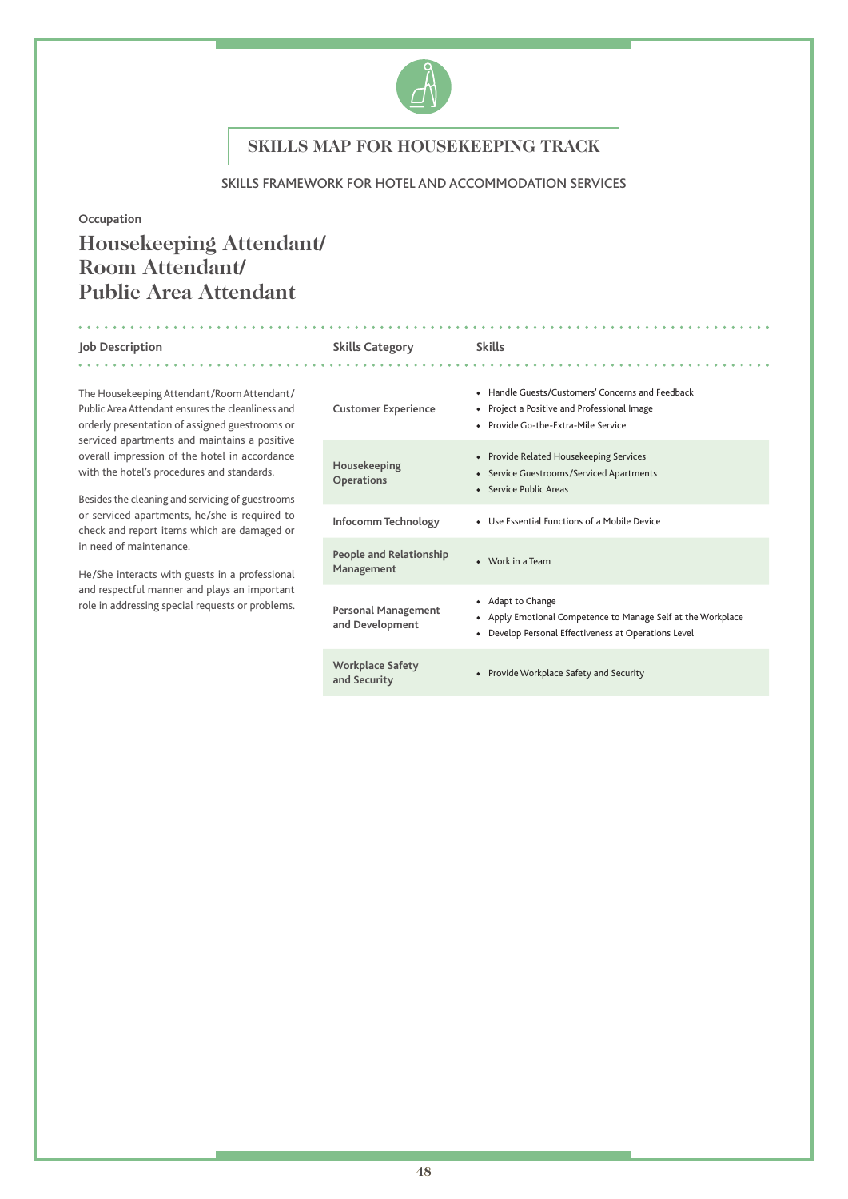

### SKILLS FRAMEWORK FOR HOTEL AND ACCOMMODATION SERVICES

### **Occupation**

# **Housekeeping Attendant/ Room Attendant/ Public Area Attendant**

and a straight and a

. . . . . . . . . . . .

. . . . . . . . . . . . .

The Housekeeping Attendant/Room Attendant/ Public Area Attendant ensures the cleanliness and orderly presentation of assigned guestrooms or serviced apartments and maintains a positive overall impression of the hotel in accordance with the hotel's procedures and standards.

Besides the cleaning and servicing of guestrooms or serviced apartments, he/she is required to check and report items which are damaged or in need of maintenance.

He/She interacts with guests in a professional and respectful manner and plays an important role in addressing special requests or problems.

#### **Job Description Skills Category Skills**

### **Customer Experience** ◆ Handle Guests/Customers' Concerns and Feedback ◆ Project a Positive and Professional Image ◆ Provide Go-the-Extra-Mile Service **Housekeeping Operations** ◆ Provide Related Housekeeping Services ◆ Service Guestrooms/Serviced Apartments ◆ Service Public Areas **Infocomm Technology** ◆ Use Essential Functions of a Mobile Device **People and Relationship Management because of the Second Avenue A** Work in a Team **Personal Management and Development** ◆ Adapt to Change ◆ Apply Emotional Competence to Manage Self at the Workplace ◆ Develop Personal Effectiveness at Operations Level **Workplace Safety and Security** ◆ Provide Workplace Safety and Security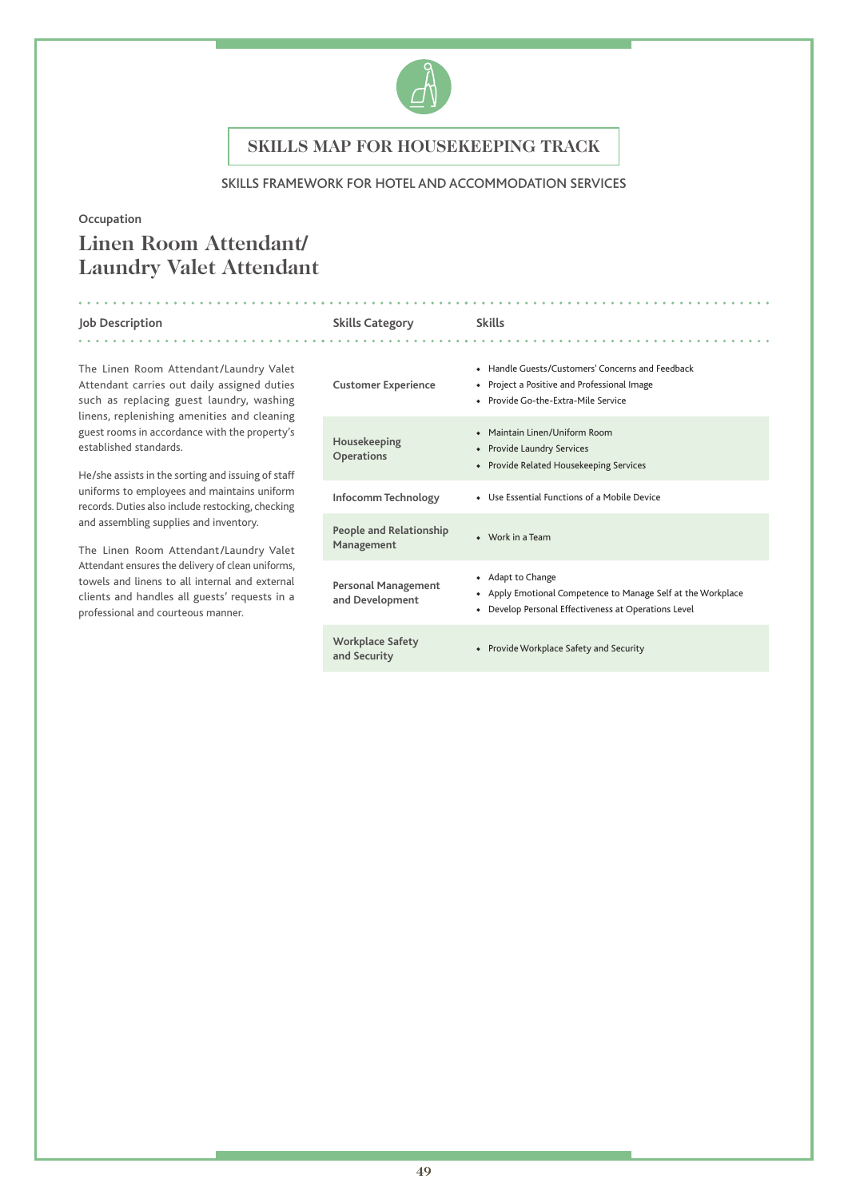

### SKILLS FRAMEWORK FOR HOTEL AND ACCOMMODATION SERVICES

### **Occupation**

# **Linen Room Attendant/ Laundry Valet Attendant**

#### **Job Description Skills Category Skills** . . . . . . . . . . . . .

The Linen Room Attendant/Laundry Valet Attendant carries out daily assigned duties such as replacing guest laundry, washing linens, replenishing amenities and cleaning guest rooms in accordance with the property's established standards.

He/she assists in the sorting and issuing of staff uniforms to employees and maintains uniform records. Duties also include restocking, checking and assembling supplies and inventory.

The Linen Room Attendant/Laundry Valet Attendant ensures the delivery of clean uniforms, towels and linens to all internal and external clients and handles all guests' requests in a professional and courteous manner.

| <b>Customer Experience</b>             | • Handle Guests/Customers' Concerns and Feedback<br>Project a Positive and Professional Image<br>٠<br>• Provide Go-the-Extra-Mile Service |
|----------------------------------------|-------------------------------------------------------------------------------------------------------------------------------------------|
| Housekeeping<br>Operations             | Maintain Linen/Uniform Room<br>• Provide Laundry Services<br>Provide Related Housekeeping Services<br>$\bullet$                           |
| Infocomm Technology                    | • Use Essential Functions of a Mobile Device                                                                                              |
| People and Relationship<br>Management  | $\bullet$ Work in a Team                                                                                                                  |
| Personal Management<br>and Development | • Adapt to Change<br>Apply Emotional Competence to Manage Self at the Workplace<br>Develop Personal Effectiveness at Operations Level     |
| Workplace Safety<br>and Security       | Provide Workplace Safety and Security<br>$\bullet$                                                                                        |
|                                        |                                                                                                                                           |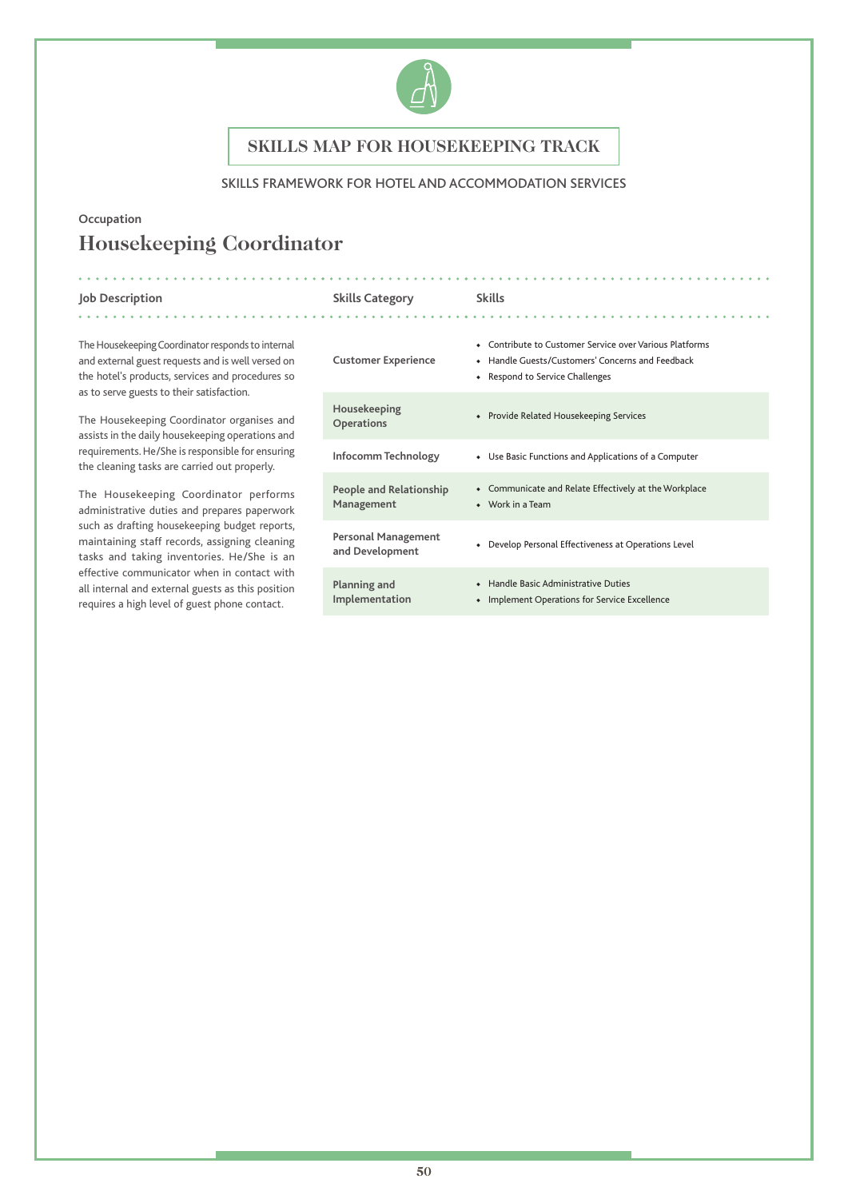

## SKILLS FRAMEWORK FOR HOTEL AND ACCOMMODATION SERVICES

# **Occupation Housekeeping Coordinator**

. . . . . . . . . . . . . . .

. . . . . .

**Job Description Skills Category Skills**

The Housekeeping Coordinator responds to internal and external guest requests and is well versed on the hotel's products, services and procedures so as to serve guests to their satisfaction.

The Housekeeping Coordinator organises and assists in the daily housekeeping operations and requirements. He/She is responsible for ensuring the cleaning tasks are carried out properly.

The Housekeeping Coordinator performs administrative duties and prepares paperwork such as drafting housekeeping budget reports, maintaining staff records, assigning cleaning tasks and taking inventories. He/She is an effective communicator when in contact with all internal and external guests as this position requires a high level of guest phone contact.

| <b>Customer Experience</b>                    | • Contribute to Customer Service over Various Platforms<br>Handle Guests/Customers' Concerns and Feedback<br>• Respond to Service Challenges |
|-----------------------------------------------|----------------------------------------------------------------------------------------------------------------------------------------------|
| Housekeeping<br>Operations                    | Provide Related Housekeeping Services                                                                                                        |
| Infocomm Technology                           | • Use Basic Functions and Applications of a Computer                                                                                         |
| People and Relationship<br>Management         | Communicate and Relate Effectively at the Workplace<br>$\bullet$ Work in a Team                                                              |
| <b>Personal Management</b><br>and Development | Develop Personal Effectiveness at Operations Level                                                                                           |
| Planning and<br>Implementation                | Handle Basic Administrative Duties<br>Implement Operations for Service Excellence                                                            |

. . . . . . . . . . . . .

. . . . . . . . . . . .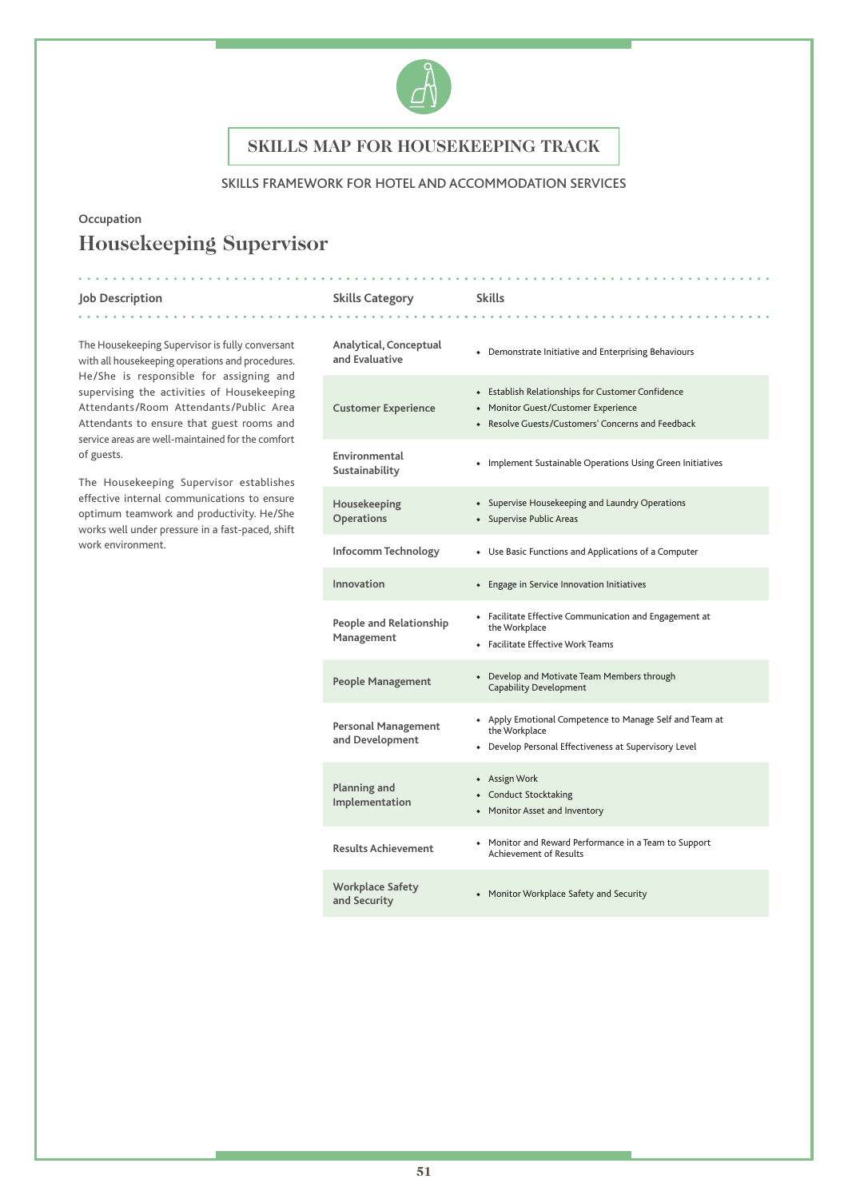

## SKILLS FRAMEWORK FOR HOTEL AND ACCOMMODATION SERVICES

## **Occupation**

. . . . . .

# **Housekeeping Supervisor**

### **Job Description Skills Category Skills**

. . . . . . . . . . . .

The Housekeeping Supervisor is fully conversant with all housekeeping operations and procedures. He/She is responsible for assigning and supervising the activities of Housekeeping Attendants/Room Attendants/Public Area Attendants to ensure that guest rooms and service areas are well-maintained for the comfort of guests.

The Housekeeping Supervisor establishes effective internal communications to ensure optimum teamwork and productivity. He/She works well under pressure in a fast-paced, shift work environment.

| Analytical, Conceptual<br>and Evaluative      | • Demonstrate Initiative and Enterprising Behaviours                                                                                          |
|-----------------------------------------------|-----------------------------------------------------------------------------------------------------------------------------------------------|
| <b>Customer Experience</b>                    | • Establish Relationships for Customer Confidence<br>• Monitor Guest/Customer Experience<br>• Resolve Guests/Customers' Concerns and Feedback |
| Environmental<br>Sustainability               | • Implement Sustainable Operations Using Green Initiatives                                                                                    |
| Housekeeping<br>Operations                    | • Supervise Housekeeping and Laundry Operations<br>• Supervise Public Areas                                                                   |
| Infocomm Technology                           | • Use Basic Functions and Applications of a Computer                                                                                          |
| Innovation                                    | • Engage in Service Innovation Initiatives                                                                                                    |
| People and Relationship<br>Management         | • Facilitate Effective Communication and Engagement at<br>the Workplace<br>• Facilitate Effective Work Teams                                  |
| <b>People Management</b>                      | Develop and Motivate Team Members through<br>$\bullet$<br>Capability Development                                                              |
| <b>Personal Management</b><br>and Development | + Apply Emotional Competence to Manage Self and Team at<br>the Workplace<br>• Develop Personal Effectiveness at Supervisory Level             |
| Planning and<br>Implementation                | • Assign Work<br>• Conduct Stocktaking<br>• Monitor Asset and Inventory                                                                       |
| <b>Results Achievement</b>                    | • Monitor and Reward Performance in a Team to Support<br><b>Achievement of Results</b>                                                        |
| <b>Workplace Safety</b><br>and Security       | • Monitor Workplace Safety and Security                                                                                                       |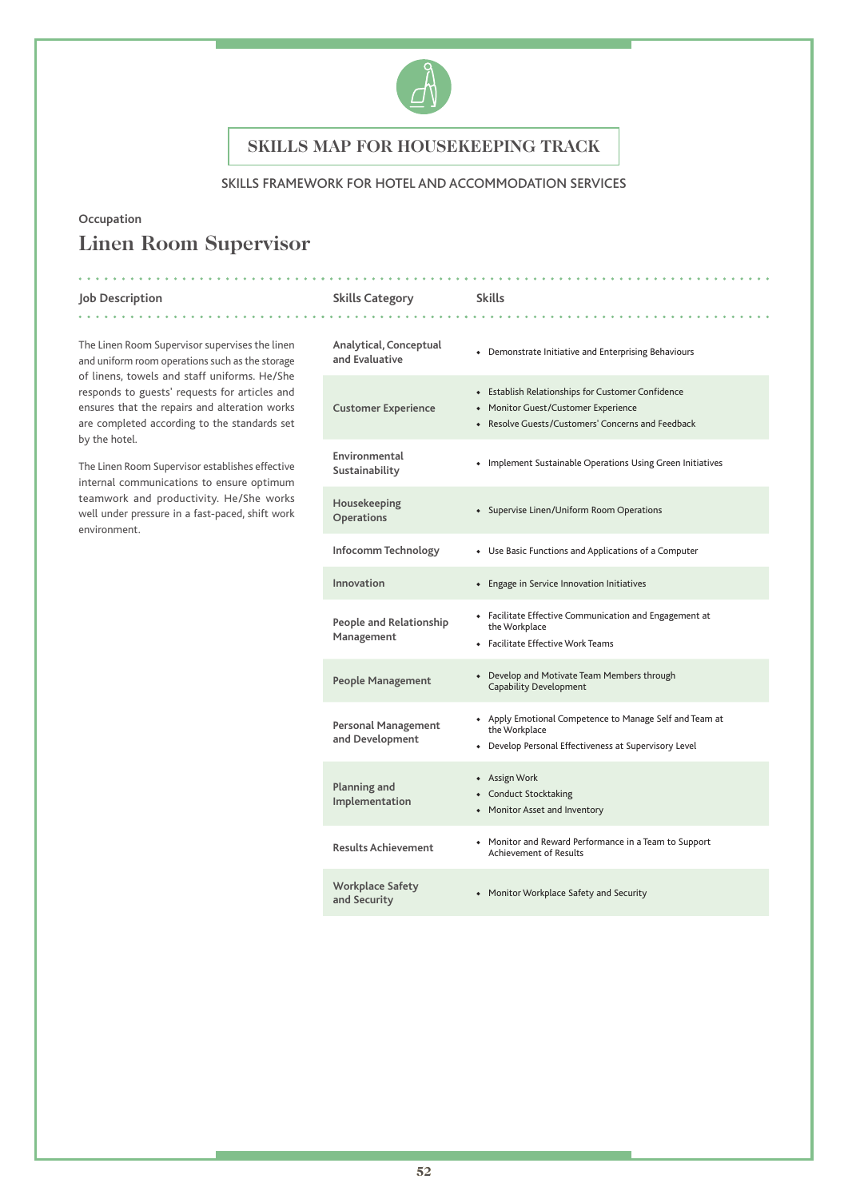

### SKILLS FRAMEWORK FOR HOTEL AND ACCOMMODATION SERVICES

### **Occupation**

. . . . . .

# **Linen Room Supervisor**

**Job Description Skills Category Skills**

The Linen Room Supervisor supervises the linen and uniform room operations such as the storage of linens, towels and staff uniforms. He/She responds to guests' requests for articles and ensures that the repairs and alteration works are completed according to the standards set by the hotel.

The Linen Room Supervisor establishes effective internal communications to ensure optimum teamwork and productivity. He/She works well under pressure in a fast-paced, shift work environment.

| Analytical, Conceptual<br>and Evaluative      | • Demonstrate Initiative and Enterprising Behaviours                                                                                          |
|-----------------------------------------------|-----------------------------------------------------------------------------------------------------------------------------------------------|
| <b>Customer Experience</b>                    | • Establish Relationships for Customer Confidence<br>• Monitor Guest/Customer Experience<br>• Resolve Guests/Customers' Concerns and Feedback |
| Environmental<br>Sustainability               | • Implement Sustainable Operations Using Green Initiatives                                                                                    |
| Housekeeping<br><b>Operations</b>             | • Supervise Linen/Uniform Room Operations                                                                                                     |
| Infocomm Technology                           | • Use Basic Functions and Applications of a Computer                                                                                          |
| Innovation                                    | • Engage in Service Innovation Initiatives                                                                                                    |
| People and Relationship<br>Management         | • Facilitate Effective Communication and Engagement at<br>the Workplace<br>• Facilitate Effective Work Teams                                  |
| <b>People Management</b>                      | Develop and Motivate Team Members through<br>$\bullet$<br><b>Capability Development</b>                                                       |
| <b>Personal Management</b><br>and Development | + Apply Emotional Competence to Manage Self and Team at<br>the Workplace<br>• Develop Personal Effectiveness at Supervisory Level             |
| Planning and<br>Implementation                | • Assign Work<br>• Conduct Stocktaking<br>• Monitor Asset and Inventory                                                                       |
| <b>Results Achievement</b>                    | • Monitor and Reward Performance in a Team to Support<br><b>Achievement of Results</b>                                                        |
| <b>Workplace Safety</b><br>and Security       | • Monitor Workplace Safety and Security                                                                                                       |

. . . . . . . . . . . .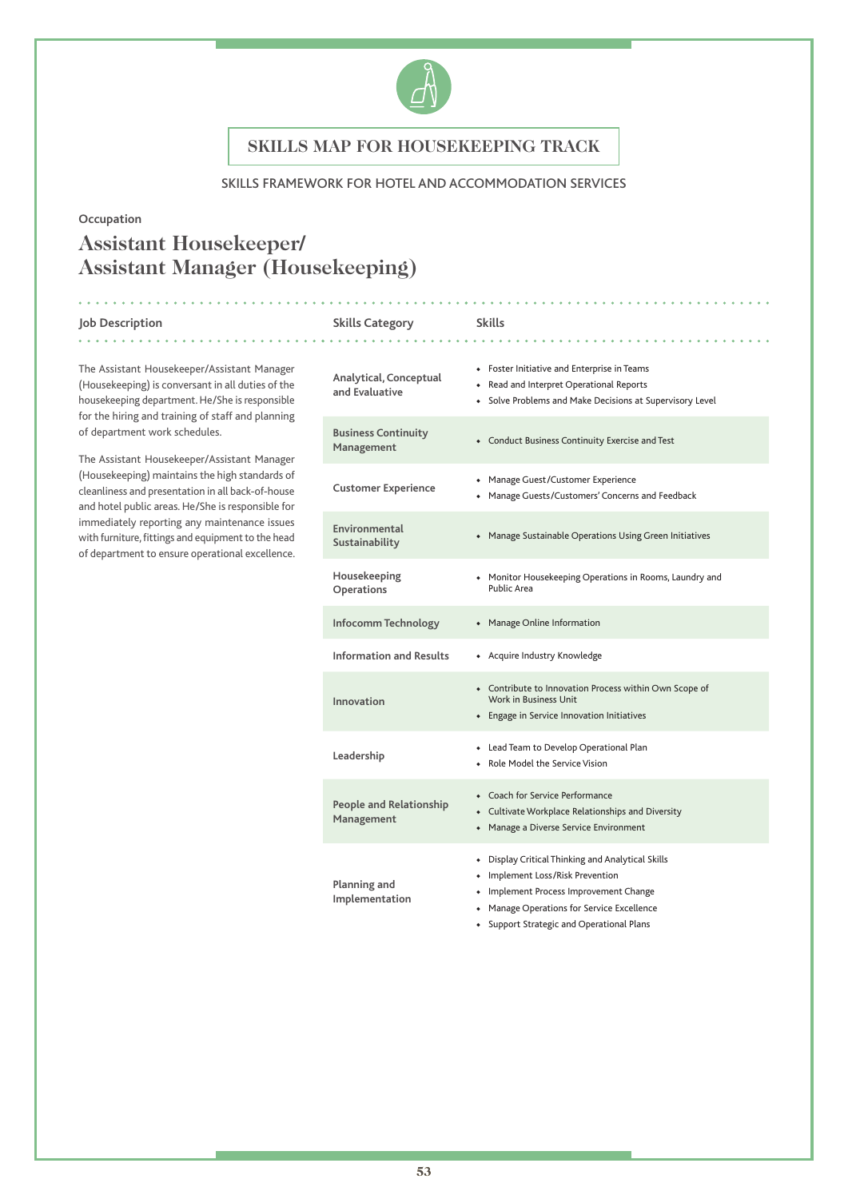

## SKILLS FRAMEWORK FOR HOTEL AND ACCOMMODATION SERVICES

### **Occupation**

# **Assistant Housekeeper/ Assistant Manager (Housekeeping)**

#### **Job Description Skills Category Skills** . . . . . . . . . . . .

The Assistant Housekeeper/Assistant Manager (Housekeeping) is conversant in all duties of the housekeeping department. He/She is responsible for the hiring and training of staff and planning of department work schedules.

The Assistant Housekeeper/Assistant Manager (Housekeeping) maintains the high standards of cleanliness and presentation in all back-of-house and hotel public areas. He/She is responsible for immediately reporting any maintenance issues with furniture, fittings and equipment to the head of department to ensure operational excellence.

| Analytical, Conceptual<br>and Evaluative     | • Foster Initiative and Enterprise in Teams<br>• Read and Interpret Operational Reports<br>• Solve Problems and Make Decisions at Supervisory Level                                                                           |
|----------------------------------------------|-------------------------------------------------------------------------------------------------------------------------------------------------------------------------------------------------------------------------------|
| <b>Business Continuity</b><br>Management     | • Conduct Business Continuity Exercise and Test                                                                                                                                                                               |
| <b>Customer Experience</b>                   | • Manage Guest/Customer Experience<br>• Manage Guests/Customers' Concerns and Feedback                                                                                                                                        |
| Environmental<br>Sustainability              | • Manage Sustainable Operations Using Green Initiatives                                                                                                                                                                       |
| Housekeeping<br>Operations                   | • Monitor Housekeeping Operations in Rooms, Laundry and<br>Public Area                                                                                                                                                        |
| Infocomm Technology                          | • Manage Online Information                                                                                                                                                                                                   |
| <b>Information and Results</b>               | • Acquire Industry Knowledge                                                                                                                                                                                                  |
| Innovation                                   | • Contribute to Innovation Process within Own Scope of<br>Work in Business Unit<br>• Engage in Service Innovation Initiatives                                                                                                 |
| Leadership                                   | • Lead Team to Develop Operational Plan<br>• Role Model the Service Vision                                                                                                                                                    |
| <b>People and Relationship</b><br>Management | • Coach for Service Performance<br>• Cultivate Workplace Relationships and Diversity<br>• Manage a Diverse Service Environment                                                                                                |
| Planning and<br>Implementation               | • Display Critical Thinking and Analytical Skills<br>• Implement Loss/Risk Prevention<br>Implement Process Improvement Change<br>٠<br>• Manage Operations for Service Excellence<br>• Support Strategic and Operational Plans |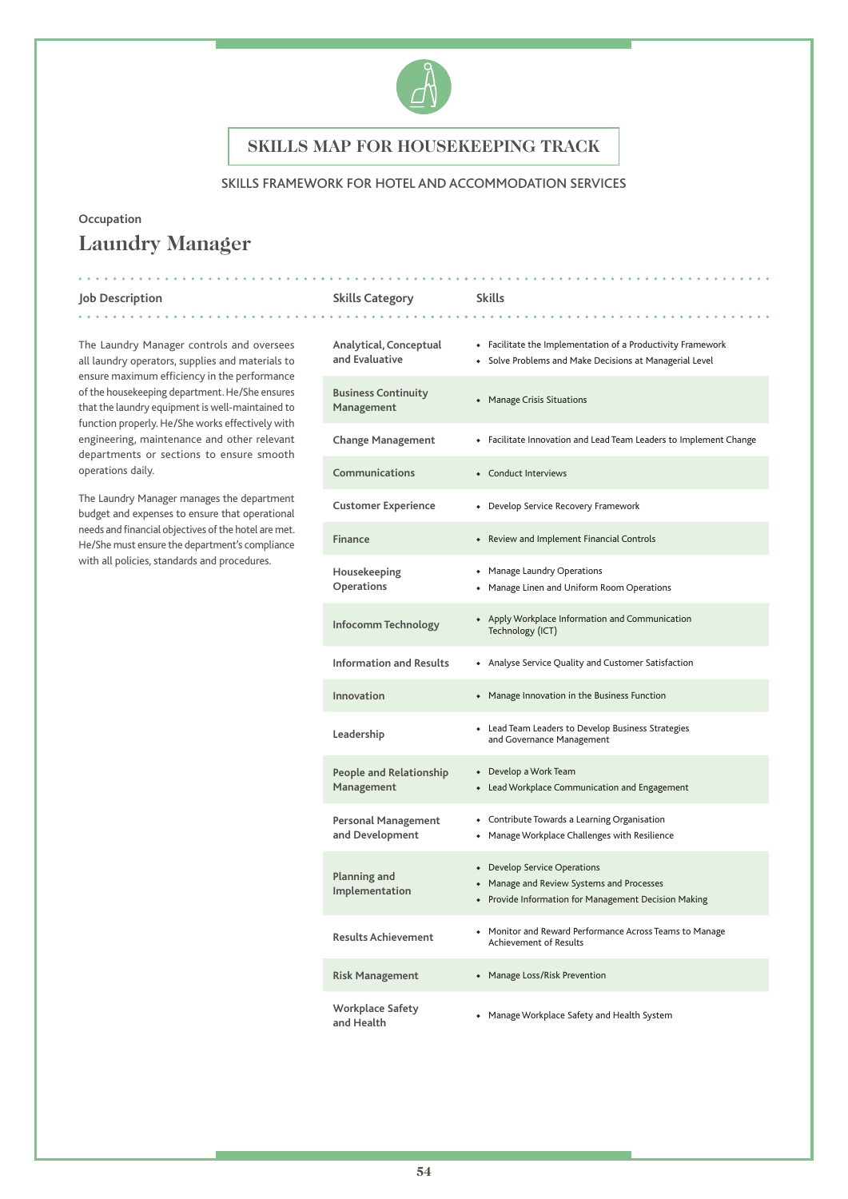

### SKILLS FRAMEWORK FOR HOTEL AND ACCOMMODATION SERVICES

# **Occupation Laundry Manager**

#### **Job Description Skills Category Skills**

. . . . . . . .

The Laundry Manager controls and oversees all laundry operators, supplies and materials to ensure maximum efficiency in the performance of the housekeeping department. He/She ensures that the laundry equipment is well-maintained to function properly. He/She works effectively with engineering, maintenance and other relevant departments or sections to ensure smooth operations daily.

The Laundry Manager manages the department budget and expenses to ensure that operational needs and financial objectives of the hotel are met. He/She must ensure the department's compliance with all policies, standards and procedures.

| Analytical, Conceptual<br>and Evaluative     | • Facilitate the Implementation of a Productivity Framework<br>• Solve Problems and Make Decisions at Managerial Level            |
|----------------------------------------------|-----------------------------------------------------------------------------------------------------------------------------------|
| <b>Business Continuity</b><br>Management     | • Manage Crisis Situations                                                                                                        |
| <b>Change Management</b>                     | • Facilitate Innovation and Lead Team Leaders to Implement Change                                                                 |
| <b>Communications</b>                        | • Conduct Interviews                                                                                                              |
| <b>Customer Experience</b>                   | • Develop Service Recovery Framework                                                                                              |
| Finance                                      | • Review and Implement Financial Controls                                                                                         |
| Housekeeping<br>Operations                   | • Manage Laundry Operations<br>• Manage Linen and Uniform Room Operations                                                         |
| Infocomm Technology                          | • Apply Workplace Information and Communication<br>Technology (ICT)                                                               |
| <b>Information and Results</b>               | • Analyse Service Quality and Customer Satisfaction                                                                               |
| Innovation                                   | • Manage Innovation in the Business Function                                                                                      |
| Leadership                                   | • Lead Team Leaders to Develop Business Strategies<br>and Governance Management                                                   |
| <b>People and Relationship</b><br>Management | • Develop a Work Team<br>• Lead Workplace Communication and Engagement                                                            |
| Personal Management<br>and Development       | • Contribute Towards a Learning Organisation<br>• Manage Workplace Challenges with Resilience                                     |
| Planning and<br>Implementation               | • Develop Service Operations<br>• Manage and Review Systems and Processes<br>• Provide Information for Management Decision Making |
| <b>Results Achievement</b>                   | • Monitor and Reward Performance Across Teams to Manage<br>Achievement of Results                                                 |
| <b>Risk Management</b>                       | • Manage Loss/Risk Prevention                                                                                                     |
| Workplace Safety<br>and Health               | • Manage Workplace Safety and Health System                                                                                       |

. . . . . . . . . . . . . . . . . .

. . . . . . . . . . . . . .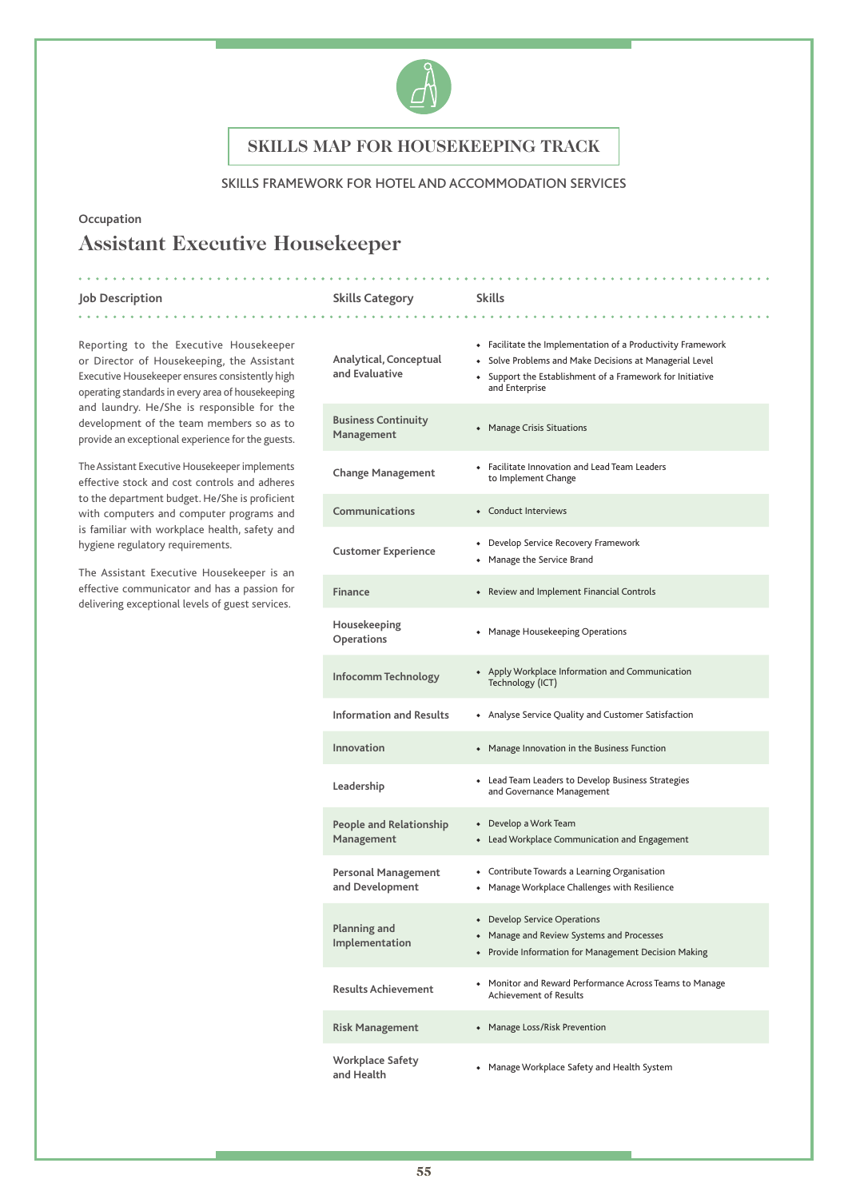

### SKILLS FRAMEWORK FOR HOTEL AND ACCOMMODATION SERVICES

## **Occupation**

# **Assistant Executive Housekeeper**

. . . . . . .

#### **Job Description Skills Category Skills**

Reporting to the Executive Housekeeper or Director of Housekeeping, the Assistant Executive Housekeeper ensures consistently high operating standards in every area of housekeeping and laundry. He/She is responsible for the development of the team members so as to provide an exceptional experience for the guests.

The Assistant Executive Housekeeper implements effective stock and cost controls and adheres to the department budget. He/She is proficient with computers and computer programs and is familiar with workplace health, safety and hygiene regulatory requirements.

The Assistant Executive Housekeeper is an effective communicator and has a passion for delivering exceptional levels of guest services.

| Analytical, Conceptual<br>and Evaluative      | • Facilitate the Implementation of a Productivity Framework<br>• Solve Problems and Make Decisions at Managerial Level<br>• Support the Establishment of a Framework for Initiative<br>and Enterprise |
|-----------------------------------------------|-------------------------------------------------------------------------------------------------------------------------------------------------------------------------------------------------------|
| <b>Business Continuity</b><br>Management      | • Manage Crisis Situations                                                                                                                                                                            |
| <b>Change Management</b>                      | • Facilitate Innovation and Lead Team Leaders<br>to Implement Change                                                                                                                                  |
| Communications                                | • Conduct Interviews                                                                                                                                                                                  |
| <b>Customer Experience</b>                    | • Develop Service Recovery Framework<br>• Manage the Service Brand                                                                                                                                    |
| Finance                                       | • Review and Implement Financial Controls                                                                                                                                                             |
| Housekeeping<br>Operations                    | • Manage Housekeeping Operations                                                                                                                                                                      |
| Infocomm Technology                           | • Apply Workplace Information and Communication<br>Technology (ICT)                                                                                                                                   |
| <b>Information and Results</b>                | • Analyse Service Quality and Customer Satisfaction                                                                                                                                                   |
| Innovation                                    | • Manage Innovation in the Business Function                                                                                                                                                          |
| Leadership                                    | • Lead Team Leaders to Develop Business Strategies<br>and Governance Management                                                                                                                       |
| <b>People and Relationship</b><br>Management  | • Develop a Work Team<br>• Lead Workplace Communication and Engagement                                                                                                                                |
| <b>Personal Management</b><br>and Development | • Contribute Towards a Learning Organisation<br>• Manage Workplace Challenges with Resilience                                                                                                         |
| Planning and<br>Implementation                | • Develop Service Operations<br>• Manage and Review Systems and Processes<br>• Provide Information for Management Decision Making                                                                     |
| <b>Results Achievement</b>                    | • Monitor and Reward Performance Across Teams to Manage<br>Achievement of Results                                                                                                                     |
| <b>Risk Management</b>                        | • Manage Loss/Risk Prevention                                                                                                                                                                         |
| <b>Workplace Safety</b><br>and Health         | • Manage Workplace Safety and Health System                                                                                                                                                           |

. . . . . . . . . . . . . . . . . .

. **. . . . . . . . . . . . . .** .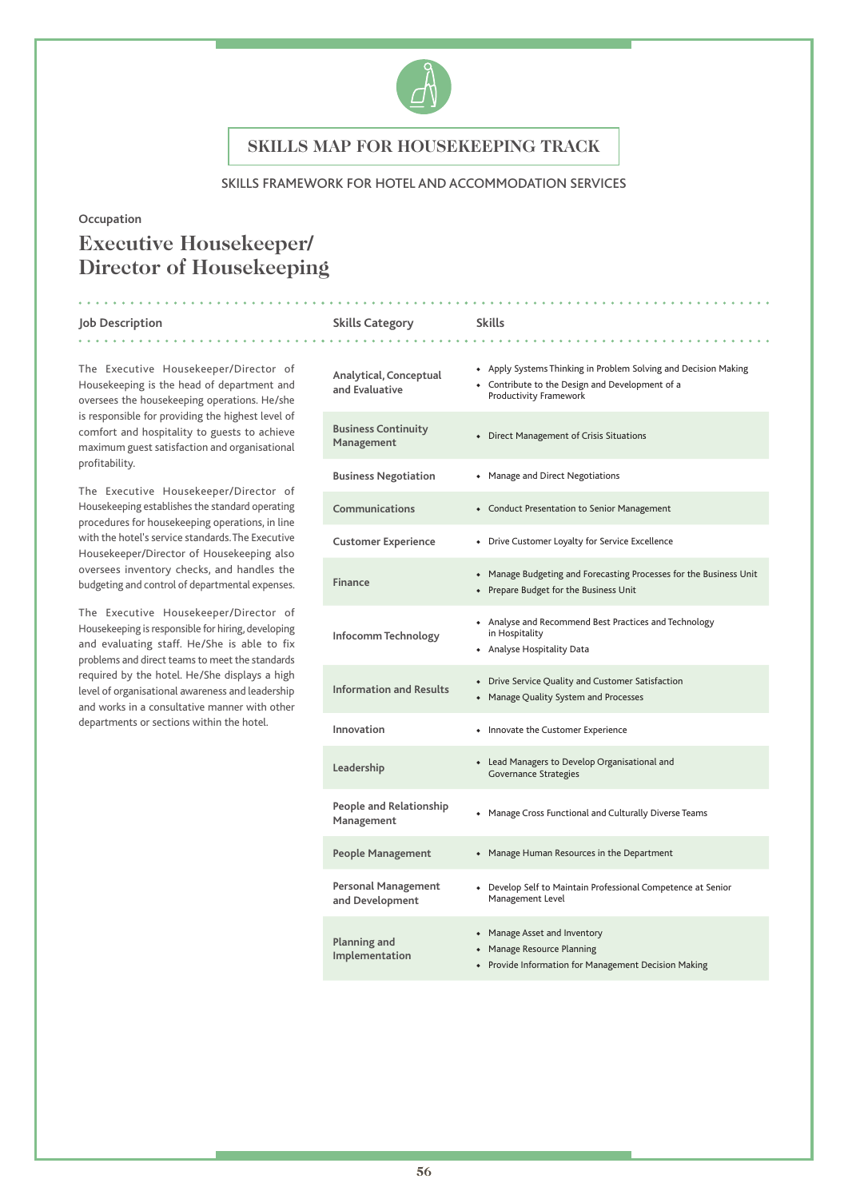

### SKILLS FRAMEWORK FOR HOTEL AND ACCOMMODATION SERVICES

### **Occupation**

# **Executive Housekeeper/ Director of Housekeeping**

#### **Job Description Skills Category Skills** . . . . . . . . . . . .

The Executive Housekeeper/Director of Housekeeping is the head of department and oversees the housekeeping operations. He/she is responsible for providing the highest level of comfort and hospitality to guests to achieve maximum guest satisfaction and organisational profitability.

The Executive Housekeeper/Director of Housekeeping establishes the standard operating procedures for housekeeping operations, in line with the hotel's service standards. The Executive Housekeeper/Director of Housekeeping also oversees inventory checks, and handles the budgeting and control of departmental expenses.

The Executive Housekeeper/Director of Housekeeping is responsible for hiring, developing and evaluating staff. He/She is able to fix problems and direct teams to meet the standards required by the hotel. He/She displays a high level of organisational awareness and leadership and works in a consultative manner with other departments or sections within the hotel.

| Analytical, Conceptual<br>and Evaluative      | • Apply Systems Thinking in Problem Solving and Decision Making<br>• Contribute to the Design and Development of a<br>Productivity Framework |
|-----------------------------------------------|----------------------------------------------------------------------------------------------------------------------------------------------|
| <b>Business Continuity</b><br>Management      | Direct Management of Crisis Situations<br>۰                                                                                                  |
| <b>Business Negotiation</b>                   | • Manage and Direct Negotiations                                                                                                             |
| Communications                                | • Conduct Presentation to Senior Management                                                                                                  |
| <b>Customer Experience</b>                    | • Drive Customer Loyalty for Service Excellence                                                                                              |
| Finance                                       | • Manage Budgeting and Forecasting Processes for the Business Unit<br>• Prepare Budget for the Business Unit                                 |
| Infocomm Technology                           | • Analyse and Recommend Best Practices and Technology<br>in Hospitality<br>• Analyse Hospitality Data                                        |
| <b>Information and Results</b>                | • Drive Service Quality and Customer Satisfaction<br>• Manage Quality System and Processes                                                   |
| Innovation                                    | Innovate the Customer Experience                                                                                                             |
| Leadership                                    | Lead Managers to Develop Organisational and<br>$\bullet$<br><b>Governance Strategies</b>                                                     |
| People and Relationship<br>Management         | Manage Cross Functional and Culturally Diverse Teams                                                                                         |
| <b>People Management</b>                      | • Manage Human Resources in the Department                                                                                                   |
| <b>Personal Management</b><br>and Development | Develop Self to Maintain Professional Competence at Senior<br>Management Level                                                               |
| Planning and<br>Implementation                | Manage Asset and Inventory<br>$\bullet$<br>• Manage Resource Planning<br>Provide Information for Management Decision Making                  |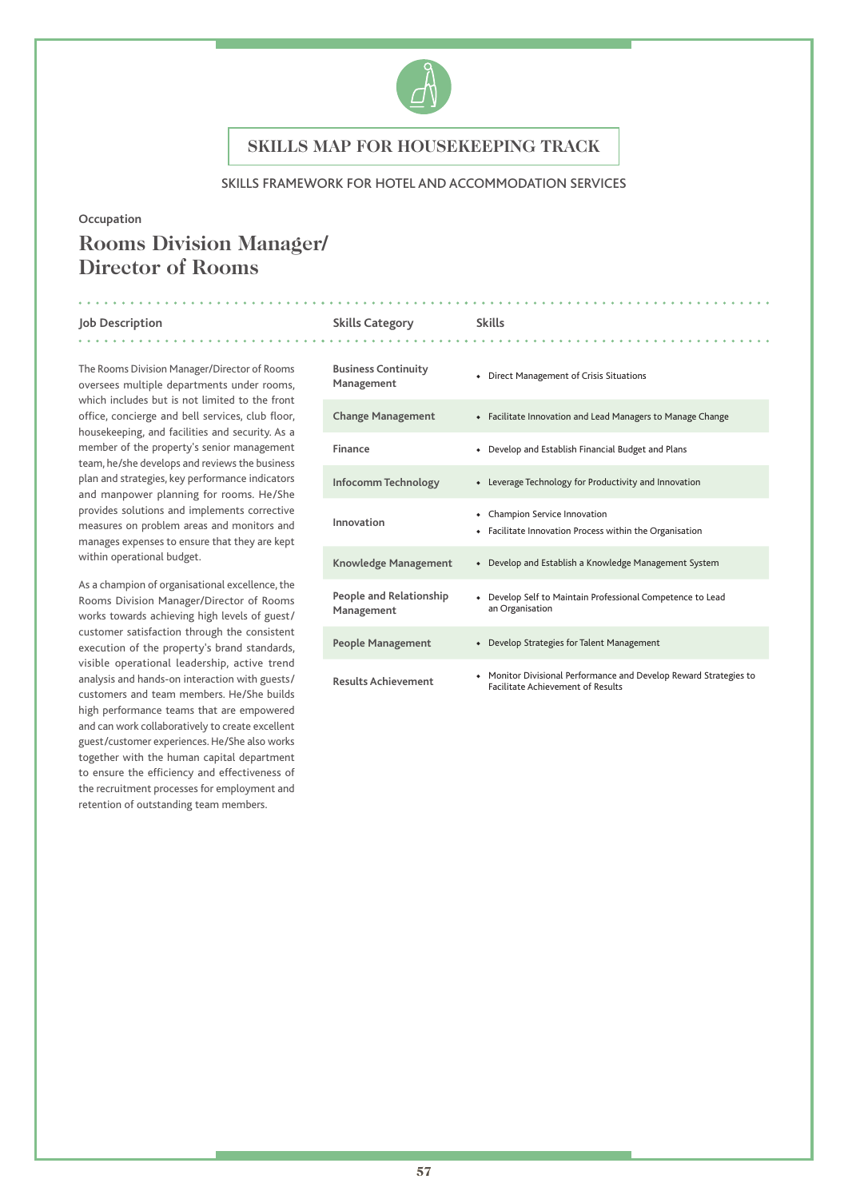

### SKILLS FRAMEWORK FOR HOTEL AND ACCOMMODATION SERVICES

### **Occupation**

# **Rooms Division Manager/ Director of Rooms**

#### **Job Description Skills Category Skills** . . . . . . . .

The Rooms Division Manager/Director of Rooms oversees multiple departments under rooms, which includes but is not limited to the front office, concierge and bell services, club floor, housekeeping, and facilities and security. As a member of the property's senior management team, he/she develops and reviews the business plan and strategies, key performance indicators and manpower planning for rooms. He/She provides solutions and implements corrective measures on problem areas and monitors and manages expenses to ensure that they are kept within operational budget.

As a champion of organisational excellence, the Rooms Division Manager/Director of Rooms works towards achieving high levels of guest/ customer satisfaction through the consistent execution of the property's brand standards, visible operational leadership, active trend analysis and hands-on interaction with guests/ customers and team members. He/She builds high performance teams that are empowered and can work collaboratively to create excellent guest/customer experiences. He/She also works together with the human capital department to ensure the efficiency and effectiveness of the recruitment processes for employment and retention of outstanding team members.

# **Business Continuity Management** • Direct Management of Crisis Situations<br>Management **Change Management** ◆ Facilitate Innovation and Lead Managers to Manage Change Finance **• Pevelop and Establish Financial Budget and Plans Infocomm Technology** ◆ Leverage Technology for Productivity and Innovation **Innovation** ◆ Champion Service Innovation ◆ Facilitate Innovation Process within the Organisation **Knowledge Management** ◆ Develop and Establish a Knowledge Management System **People and Relationship Management** ◆ Develop Self to Maintain Professional Competence to Lead an Organisation **People Management** ◆ Develop Strategies for Talent Management **Results Achievement** ◆ Monitor Divisional Performance and Develop Reward Strategies to Facilitate Achievement of Results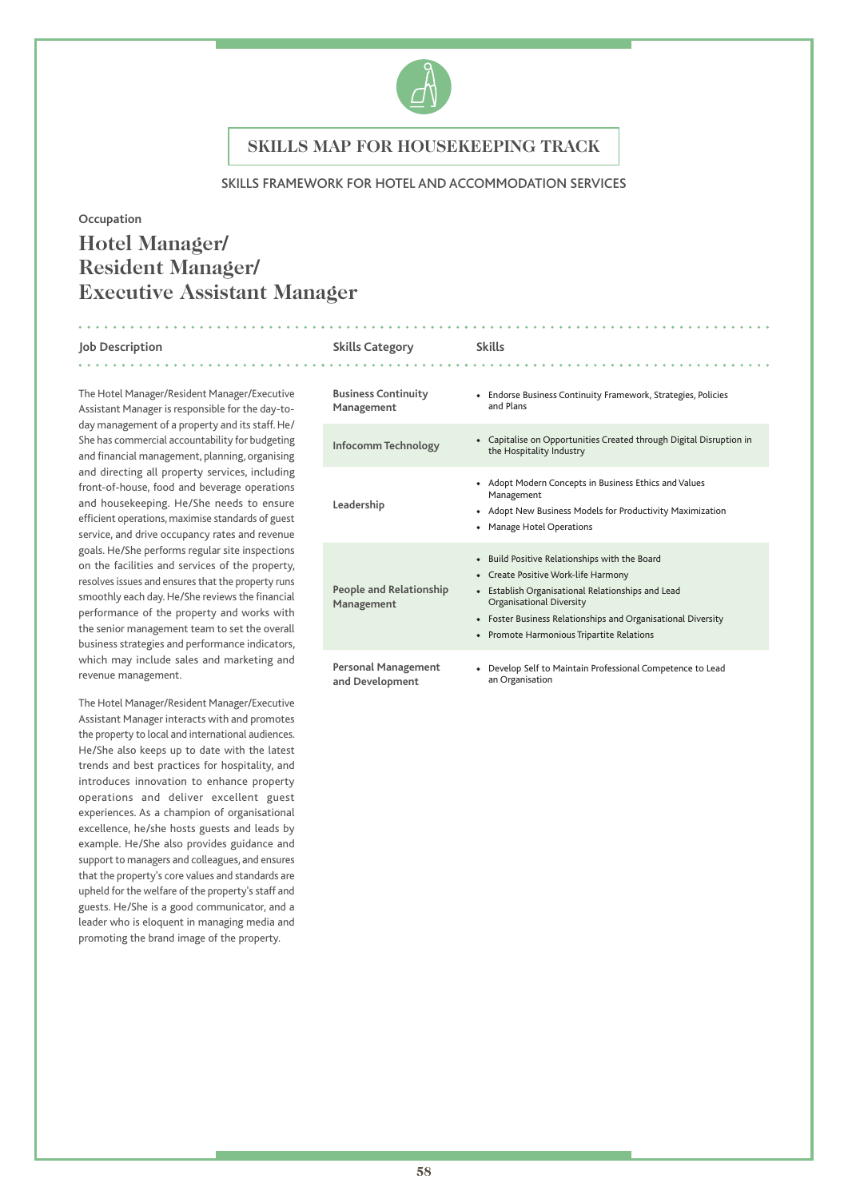

### SKILLS FRAMEWORK FOR HOTEL AND ACCOMMODATION SERVICES

### **Occupation**

# **Hotel Manager/ Resident Manager/ Executive Assistant Manager**

### **Job Description Skills Category Skills**

The Hotel Manager/Resident Manager/Executive Assistant Manager is responsible for the day-today management of a property and its staff. He/ She has commercial accountability for budgeting and financial management, planning, organising and directing all property services, including front-of-house, food and beverage operations and housekeeping. He/She needs to ensure efficient operations, maximise standards of guest service, and drive occupancy rates and revenue goals. He/She performs regular site inspections on the facilities and services of the property, resolves issues and ensures that the property runs smoothly each day. He/She reviews the financial performance of the property and works with the senior management team to set the overall business strategies and performance indicators, which may include sales and marketing and revenue management.

The Hotel Manager/Resident Manager/Executive Assistant Manager interacts with and promotes the property to local and international audiences. He/She also keeps up to date with the latest trends and best practices for hospitality, and introduces innovation to enhance property operations and deliver excellent guest experiences. As a champion of organisational excellence, he/she hosts guests and leads by example. He/She also provides guidance and support to managers and colleagues, and ensures that the property's core values and standards are upheld for the welfare of the property's staff and guests. He/She is a good communicator, and a leader who is eloquent in managing media and promoting the brand image of the property.

# 

. . . . . . . . . . . . . . .

| <b>Business Continuity</b><br>Management      | • Endorse Business Continuity Framework, Strategies, Policies<br>and Plans                                                                                                                                                                                                                                                  |
|-----------------------------------------------|-----------------------------------------------------------------------------------------------------------------------------------------------------------------------------------------------------------------------------------------------------------------------------------------------------------------------------|
| Infocomm Technology                           | • Capitalise on Opportunities Created through Digital Disruption in<br>the Hospitality Industry                                                                                                                                                                                                                             |
| Leadership                                    | • Adopt Modern Concepts in Business Ethics and Values<br>Management<br>• Adopt New Business Models for Productivity Maximization<br>• Manage Hotel Operations                                                                                                                                                               |
| People and Relationship<br>Management         | • Build Positive Relationships with the Board<br>• Create Positive Work-life Harmony<br>Establish Organisational Relationships and Lead<br>$\blacklozenge$<br><b>Organisational Diversity</b><br>• Foster Business Relationships and Organisational Diversity<br>Promote Harmonious Tripartite Relations<br>$\blacklozenge$ |
| <b>Personal Management</b><br>and Development | • Develop Self to Maintain Professional Competence to Lead<br>an Organisation                                                                                                                                                                                                                                               |